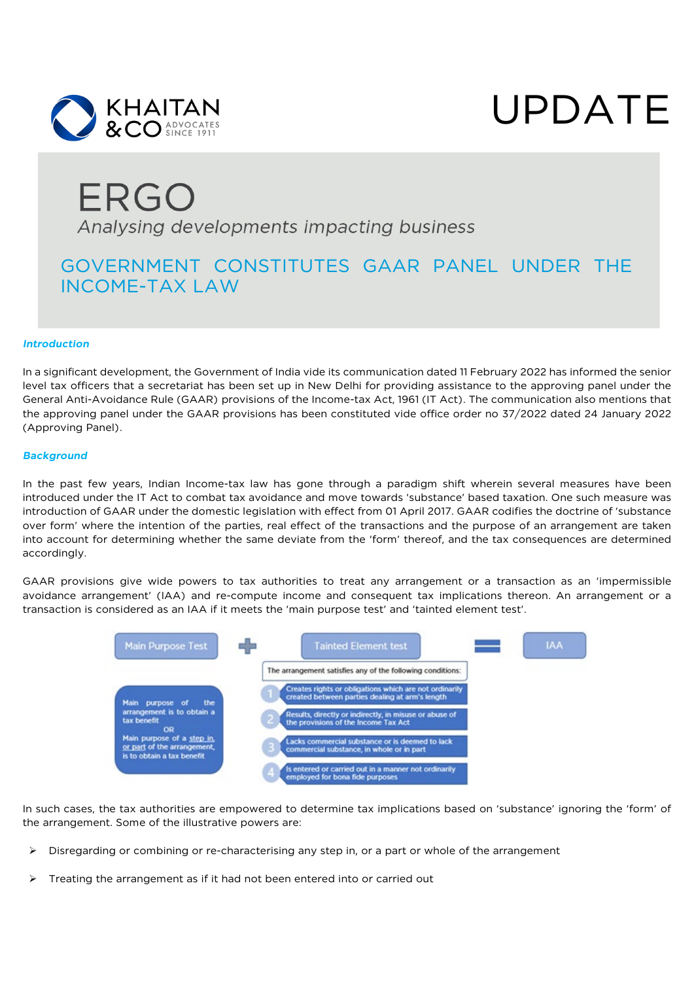



# ERGO Analysing developments impacting business

### GOVERNMENT CONSTITUTES GAAR PANEL UNDER THE INCOME-TAX LAW

#### *Introduction*

In a significant development, the Government of India vide its communication dated 11 February 2022 has informed the senior level tax officers that a secretariat has been set up in New Delhi for providing assistance to the approving panel under the General Anti-Avoidance Rule (GAAR) provisions of the Income-tax Act, 1961 (IT Act). The communication also mentions that the approving panel under the GAAR provisions has been constituted vide office order no 37/2022 dated 24 January 2022 (Approving Panel).

#### *Background*

In the past few years, Indian Income-tax law has gone through a paradigm shift wherein several measures have been introduced under the IT Act to combat tax avoidance and move towards 'substance' based taxation. One such measure was introduction of GAAR under the domestic legislation with effect from 01 April 2017. GAAR codifies the doctrine of 'substance over form' where the intention of the parties, real effect of the transactions and the purpose of an arrangement are taken into account for determining whether the same deviate from the 'form' thereof, and the tax consequences are determined accordingly.

GAAR provisions give wide powers to tax authorities to treat any arrangement or a transaction as an 'impermissible avoidance arrangement' (IAA) and re-compute income and consequent tax implications thereon. An arrangement or a transaction is considered as an IAA if it meets the 'main purpose test' and 'tainted element test'.



In such cases, the tax authorities are empowered to determine tax implications based on 'substance' ignoring the 'form' of the arrangement. Some of the illustrative powers are:

- $\triangleright$  Disregarding or combining or re-characterising any step in, or a part or whole of the arrangement
- $\triangleright$  Treating the arrangement as if it had not been entered into or carried out